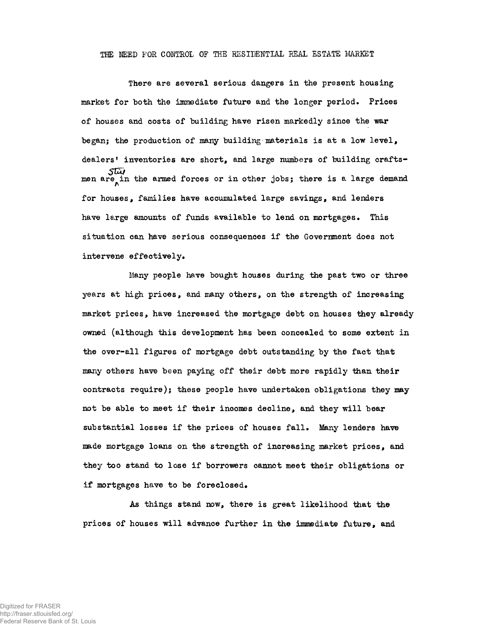## THE MEED FOR CONTROL OF THE RESIDENTIAL REAL ESTATE MARKET

There are several serious dangers in the present housing market for both the immediate future and the longer period. Prices of houses and costs of building have risen markedly since the war began; the production of many building-materials is at a low level, dealers' inventories are short, and large numbers of building craftsmen are in the armed forces or in other jobs; there is a large demand for houses, families have accumulated large savings, and lenders have large amounts of funds available to lend on mortgages. This situation can have serious consequences if the Government does not intervene effectively.

Many people have bought houses during the past two or three years at high prices, and many others, on the strength of increasing market prices, have increased the mortgage debt on houses they already owned (although this development has been concealed to some extent in the over-all figures of mortgage debt outstanding by the fact that many others have been paying off their debt more rapidly than their contracts require); these people have undertaken obligations they may not be able to meet if their incomes decline, and they will bear substantial losses if the prices of houses fall. Many lenders have made mortgage loans on the strength of increasing market prices, and they too stand to lose if borrowers cannot meet their obligations or if mortgages have to be foreclosed.

As things stand now, there is great likelihood that the prices of houses will advance further in the immediate future, and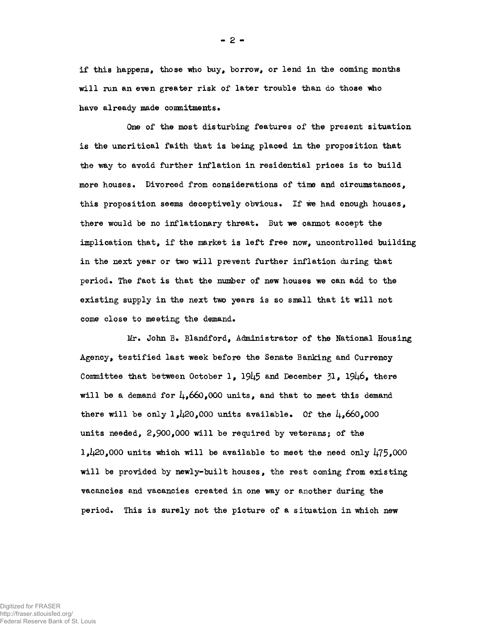if this happens, those who buy, borrow, or lend in the coming months will run an even greater risk of later trouble than do those who have already made commitments.

One of the most disturbing features of the present situation is the uncritical faith that is being placed in the proposition that the way to avoid further inflation in residential prices is to build more houses. Divorced from considerations of time and circumstances, this proposition seems deceptively obvious. If we had enough houses, there would be no inflationary threat. But we cannot accept the implication that, if the market is left free now, uncontrolled building in the next year or two will prevent further inflation daring that period. The fact is that the number of new houses we can add to the existing supply in the next two years is so small that it will not come close to meeting the demand.

Mr. John B. Blandford, Administrator of the National Housing Agency, testified last week before the Senate Banking and Currency Committee that between October 1, 1945 and December  $31$ , 19 $\mu$ 6, there will be a demand for  $\mu$ , 660,000 units, and that to meet this demand there will be only  $1,120,000$  units available. Of the  $\mu$ ,660,000 units needed, 2,900,000 will be required by veterans; of the l, $\mu$ 20,000 units which will be available to meet the need only  $\mu$ 75,000 will be provided by newly-built houses, the rest coming from existing vacancies and vacancies created in one way or another during the period. This is surely not the picture of a situation in which new

Digitized for FRASER http://fraser.stlouisfed.org/ Federal Reserve Bank of St. Louis  $- 2 -$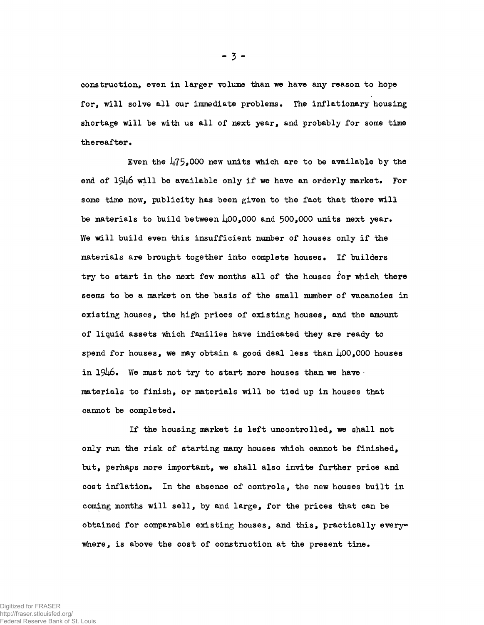construction, even in larger volume than we have any reason to hope for, will solve all our immediate problems. The inflationary housing shortage will be with us all of next year, and probably for some time thereafter.

Even the  $\frac{1}{75}$ ,000 new units which are to be available by the end of  $1946$  will be available only if we have an orderly market. For some time now, publicity has been given to the fact that there will be materials to build between  $\mu$ 00.000 and 500.000 units next year. We will build even this insufficient number of houses only if the materials are brought together into complete houses. If builders try to start in the next few months all of the houses for which there seems to be a market on the basis of the small number of vacancies in existing houses, the high prices of existing houses, and the amount of liquid assets which families have indicated they are ready to spend for houses, we may obtain a good deal less than  $\text{\AA}00$ ,000 houses in  $1946.$  We must not try to start more houses than we have materials to finish, or materials will be tied up in houses that cannot be completed.

If the housing market is left uncontrolled, we shall not only run the risk of starting many houses which cannot be finished, but, perhaps more important, we shall also invite further price and cost inflation. In the absence of controls, the new houses built in coming months will sell, by and large, for the prices that can be obtained for comparable existing houses, and this, practically everywhere, is above the cost of construction at the present time.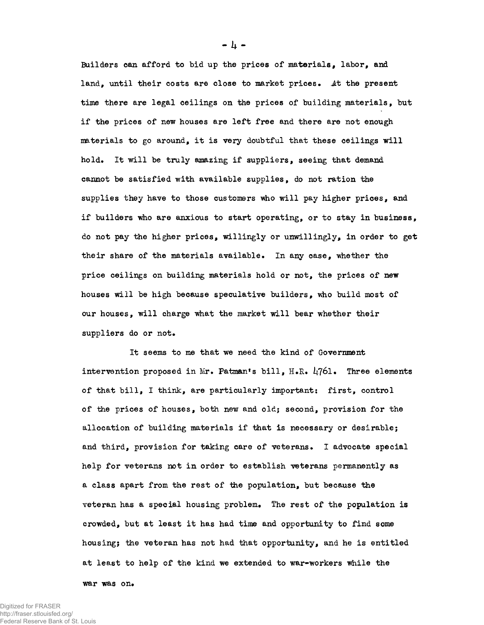Builders can afford to bid up the prices of materials, labor, and land. until their costs are close to market prices. At the present time there are legal ceilings on the prices of building materials, but if the prices of new houses are left free and there are not enough materials to go around, it is very doubtful that these ceilings will hold. It will be truly amazing if suppliers, seeing that demand cannot be satisfied with available supplies, do not ration the supplies they have to those customers who will pay higher prices, and if builders who are anxious to start operating, or to stay in business, do not pay the higher prices, willingly or unwillingly, in order to get their share of the materials available. In any case, whether the price ceilings on building materials hold or not, the prices of new houses will be high because speculative builders, who build most of our houses, will charge what the market will bear whether their suppliers do or not.

It seems to me that we need the kind of Government intervention proposed in Mr. Patman's bill, H.R.  $L$ 761. Three elements of that bill, I think, are particularly important; first, control of the prices of houses, both new and old; second, provision for the allocation of building materials if that is necessary or desirable; and third, provision for taking care of veterans. I advocate special help for veterans not in order to establish veterans permanently as a class apart from the rest of the population, but because the veteran has a special housing problem. The rest of the population is crowded, but at least it has had time and opportunity to find some housing; the veteran has not had that opportunity, and he is entitled at least to help of the kind we extended to war-workers while the

war was on.

- 4 -